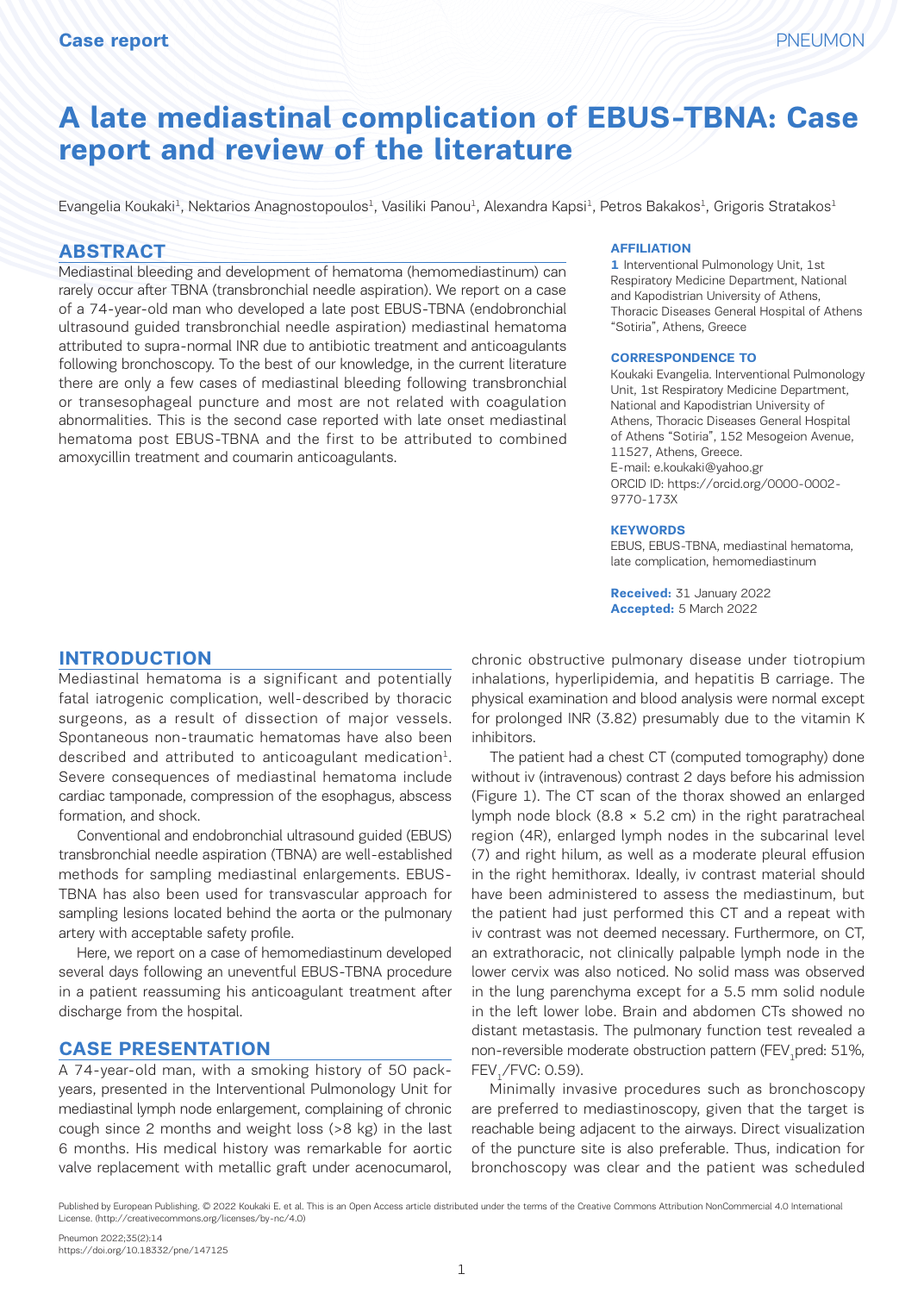# **A late mediastinal complication of EBUS-TBNA: Case report and review of the literature**

Evangelia Koukaki<sup>1</sup>, Nektarios Anagnostopoulos<sup>1</sup>, Vasiliki Panou<sup>1</sup>, Alexandra Kapsi<sup>1</sup>, Petros Bakakos<sup>1</sup>, Grigoris Stratakos<sup>1</sup>

#### **ABSTRACT**

Mediastinal bleeding and development of hematoma (hemomediastinum) can rarely occur after TBNA (transbronchial needle aspiration). We report on a case of a 74-year-old man who developed a late post EBUS-TBNA (endobronchial ultrasound guided transbronchial needle aspiration) mediastinal hematoma attributed to supra-normal INR due to antibiotic treatment and anticoagulants following bronchoscopy. To the best of our knowledge, in the current literature there are only a few cases of mediastinal bleeding following transbronchial or transesophageal puncture and most are not related with coagulation abnormalities. This is the second case reported with late onset mediastinal hematoma post EBUS-TBNA and the first to be attributed to combined amoxycillin treatment and coumarin anticoagulants.

#### **AFFILIATION**

**1** Interventional Pulmonology Unit, 1st Respiratory Medicine Department, National and Kapodistrian University of Athens, Thoracic Diseases General Hospital of Athens "Sotiria", Athens, Greece

#### **CORRESPONDENCE TO**

Koukaki Evangelia. Interventional Pulmonology Unit, 1st Respiratory Medicine Department, National and Kapodistrian University of Athens, Thoracic Diseases General Hospital of Athens "Sotiria", 152 Mesogeion Avenue, 11527, Athens, Greece. E-mail: e.koukaki@yahoo.gr ORCID ID: https://orcid.org/0000-0002- 9770-173X

#### **KEYWORDS**

EBUS, EBUS-TBNA, mediastinal hematoma, late complication, hemomediastinum

**Received:** 31 January 2022 **Accepted:** 5 March 2022

### **INTRODUCTION**

Mediastinal hematoma is a significant and potentially fatal iatrogenic complication, well-described by thoracic surgeons, as a result of dissection of major vessels. Spontaneous non-traumatic hematomas have also been described and attributed to anticoagulant medication<sup>1</sup>. Severe consequences of mediastinal hematoma include cardiac tamponade, compression of the esophagus, abscess formation, and shock.

Conventional and endobronchial ultrasound guided (EBUS) transbronchial needle aspiration (TBNA) are well-established methods for sampling mediastinal enlargements. EBUS-TBNA has also been used for transvascular approach for sampling lesions located behind the aorta or the pulmonary artery with acceptable safety profile.

Here, we report on a case of hemomediastinum developed several days following an uneventful EBUS-TBNA procedure in a patient reassuming his anticoagulant treatment after discharge from the hospital.

#### **CASE PRESENTATION**

A 74-year-old man, with a smoking history of 50 packyears, presented in the Interventional Pulmonology Unit for mediastinal lymph node enlargement, complaining of chronic cough since 2 months and weight loss (>8 kg) in the last 6 months. His medical history was remarkable for aortic valve replacement with metallic graft under acenocumarol,

chronic obstructive pulmonary disease under tiotropium inhalations, hyperlipidemia, and hepatitis B carriage. The physical examination and blood analysis were normal except for prolonged INR (3.82) presumably due to the vitamin K inhibitors.

The patient had a chest CT (computed tomography) done without iv (intravenous) contrast 2 days before his admission (Figure 1). The CT scan of the thorax showed an enlarged lymph node block  $(8.8 \times 5.2 \text{ cm})$  in the right paratracheal region (4R), enlarged lymph nodes in the subcarinal level (7) and right hilum, as well as a moderate pleural effusion in the right hemithorax. Ideally, iv contrast material should have been administered to assess the mediastinum, but the patient had just performed this CT and a repeat with iv contrast was not deemed necessary. Furthermore, on CT, an extrathoracic, not clinically palpable lymph node in the lower cervix was also noticed. No solid mass was observed in the lung parenchyma except for a 5.5 mm solid nodule in the left lower lobe. Brain and abdomen CTs showed no distant metastasis. The pulmonary function test revealed a non-reversible moderate obstruction pattern (FEV, pred: 51%, FEV<sub>1</sub>/FVC: 0.59).

Minimally invasive procedures such as bronchoscopy are preferred to mediastinoscopy, given that the target is reachable being adjacent to the airways. Direct visualization of the puncture site is also preferable. Thus, indication for bronchoscopy was clear and the patient was scheduled

Published by European Publishing. © 2022 Koukaki E. et al. This is an Open Access article distributed under the terms of the Creative Commons Attribution NonCommercial 4.0 International License. (http://creativecommons.org/licenses/by-nc/4.0)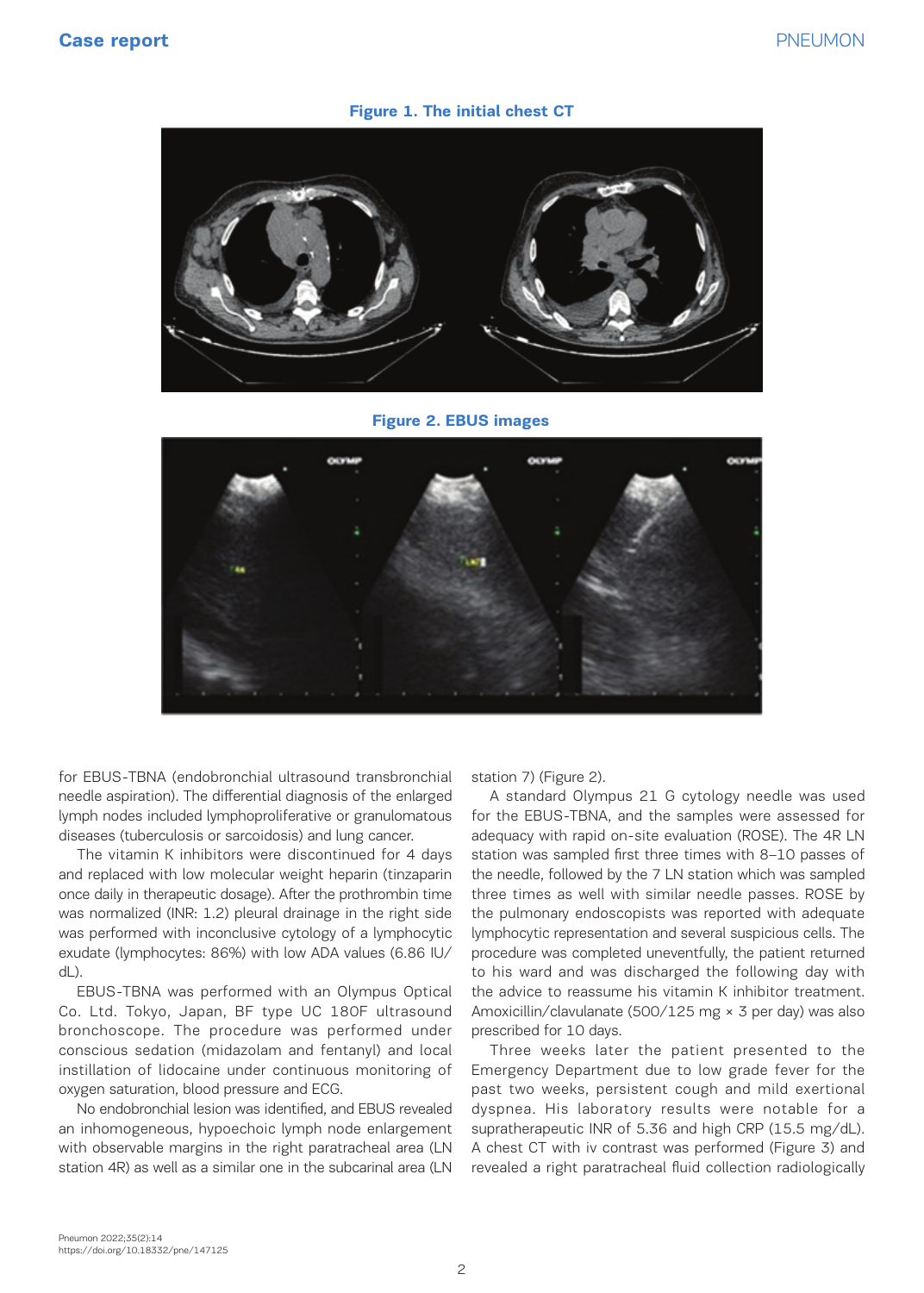#### **Figure 1. The initial chest CT**



**Figure 2. EBUS images**



for EBUS-TBNA (endobronchial ultrasound transbronchial needle aspiration). The differential diagnosis of the enlarged lymph nodes included lymphoproliferative or granulomatous diseases (tuberculosis or sarcoidosis) and lung cancer.

The vitamin K inhibitors were discontinued for 4 days and replaced with low molecular weight heparin (tinzaparin once daily in therapeutic dosage). After the prothrombin time was normalized (INR: 1.2) pleural drainage in the right side was performed with inconclusive cytology of a lymphocytic exudate (lymphocytes: 86%) with low ADA values (6.86 IU/ dL).

EBUS-TBNA was performed with an Olympus Optical Co. Ltd. Tokyo, Japan, BF type UC 180F ultrasound bronchoscope. The procedure was performed under conscious sedation (midazolam and fentanyl) and local instillation of lidocaine under continuous monitoring of oxygen saturation, blood pressure and ECG.

No endobronchial lesion was identified, and EBUS revealed an inhomogeneous, hypoechoic lymph node enlargement with observable margins in the right paratracheal area (LN station 4R) as well as a similar one in the subcarinal area (LN

station 7) (Figure 2).

A standard Olympus 21 G cytology needle was used for the EBUS-TBNA, and the samples were assessed for adequacy with rapid on-site evaluation (ROSE). The 4R LN station was sampled first three times with 8–10 passes of the needle, followed by the 7 LN station which was sampled three times as well with similar needle passes. ROSE by the pulmonary endoscopists was reported with adequate lymphocytic representation and several suspicious cells. The procedure was completed uneventfully, the patient returned to his ward and was discharged the following day with the advice to reassume his vitamin K inhibitor treatment. Amoxicillin/clavulanate (500/125 mg × 3 per day) was also prescribed for 10 days.

Three weeks later the patient presented to the Emergency Department due to low grade fever for the past two weeks, persistent cough and mild exertional dyspnea. His laboratory results were notable for a supratherapeutic INR of 5.36 and high CRP (15.5 mg/dL). A chest CT with iv contrast was performed (Figure 3) and revealed a right paratracheal fluid collection radiologically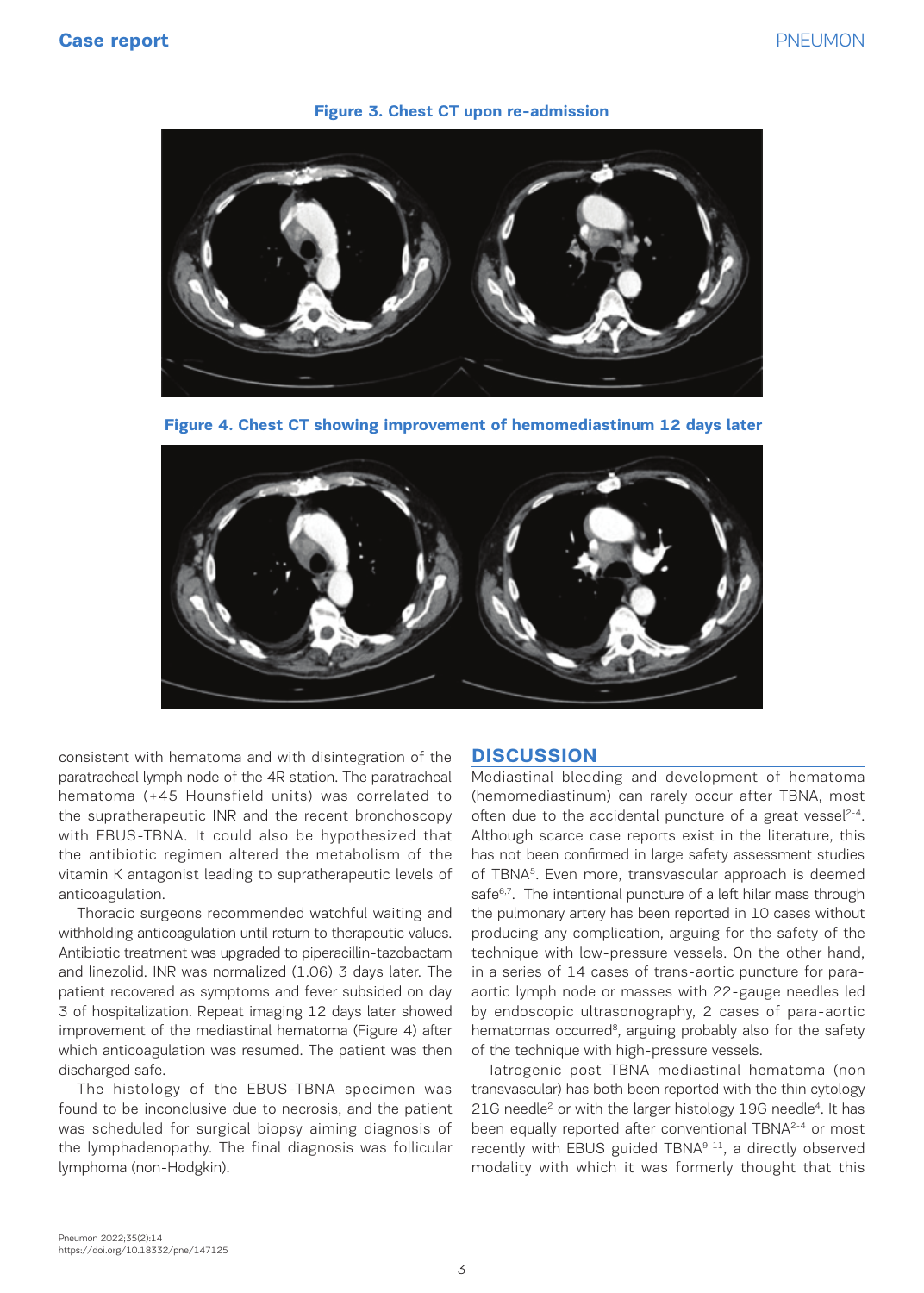#### **Figure 3. Chest CT upon re-admission**



**Figure 4. Chest CT showing improvement of hemomediastinum 12 days later**



consistent with hematoma and with disintegration of the paratracheal lymph node of the 4R station. The paratracheal hematoma (+45 Hounsfield units) was correlated to the supratherapeutic INR and the recent bronchoscopy with EBUS-TBNA. It could also be hypothesized that the antibiotic regimen altered the metabolism of the vitamin K antagonist leading to supratherapeutic levels of anticoagulation.

Thoracic surgeons recommended watchful waiting and withholding anticoagulation until return to therapeutic values. Antibiotic treatment was upgraded to piperacillin-tazobactam and linezolid. INR was normalized (1.06) 3 days later. The patient recovered as symptoms and fever subsided on day 3 of hospitalization. Repeat imaging 12 days later showed improvement of the mediastinal hematoma (Figure 4) after which anticoagulation was resumed. The patient was then discharged safe.

The histology of the EBUS-TBNA specimen was found to be inconclusive due to necrosis, and the patient was scheduled for surgical biopsy aiming diagnosis of the lymphadenopathy. The final diagnosis was follicular lymphoma (non-Hodgkin).

### **DISCUSSION**

Mediastinal bleeding and development of hematoma (hemomediastinum) can rarely occur after TBNA, most often due to the accidental puncture of a great vessel<sup>2-4</sup>. Although scarce case reports exist in the literature, this has not been confirmed in large safety assessment studies of TBNA5. Even more, transvascular approach is deemed safe<sup>6,7</sup>. The intentional puncture of a left hilar mass through the pulmonary artery has been reported in 10 cases without producing any complication, arguing for the safety of the technique with low-pressure vessels. On the other hand, in a series of 14 cases of trans-aortic puncture for paraaortic lymph node or masses with 22-gauge needles led by endoscopic ultrasonography, 2 cases of para-aortic hematomas occurred<sup>8</sup>, arguing probably also for the safety of the technique with high-pressure vessels.

Iatrogenic post TBNA mediastinal hematoma (non transvascular) has both been reported with the thin cytology 21G needle<sup>2</sup> or with the larger histology 19G needle<sup>4</sup>. It has been equally reported after conventional TBNA<sup>2-4</sup> or most recently with EBUS guided TBNA9-11, a directly observed modality with which it was formerly thought that this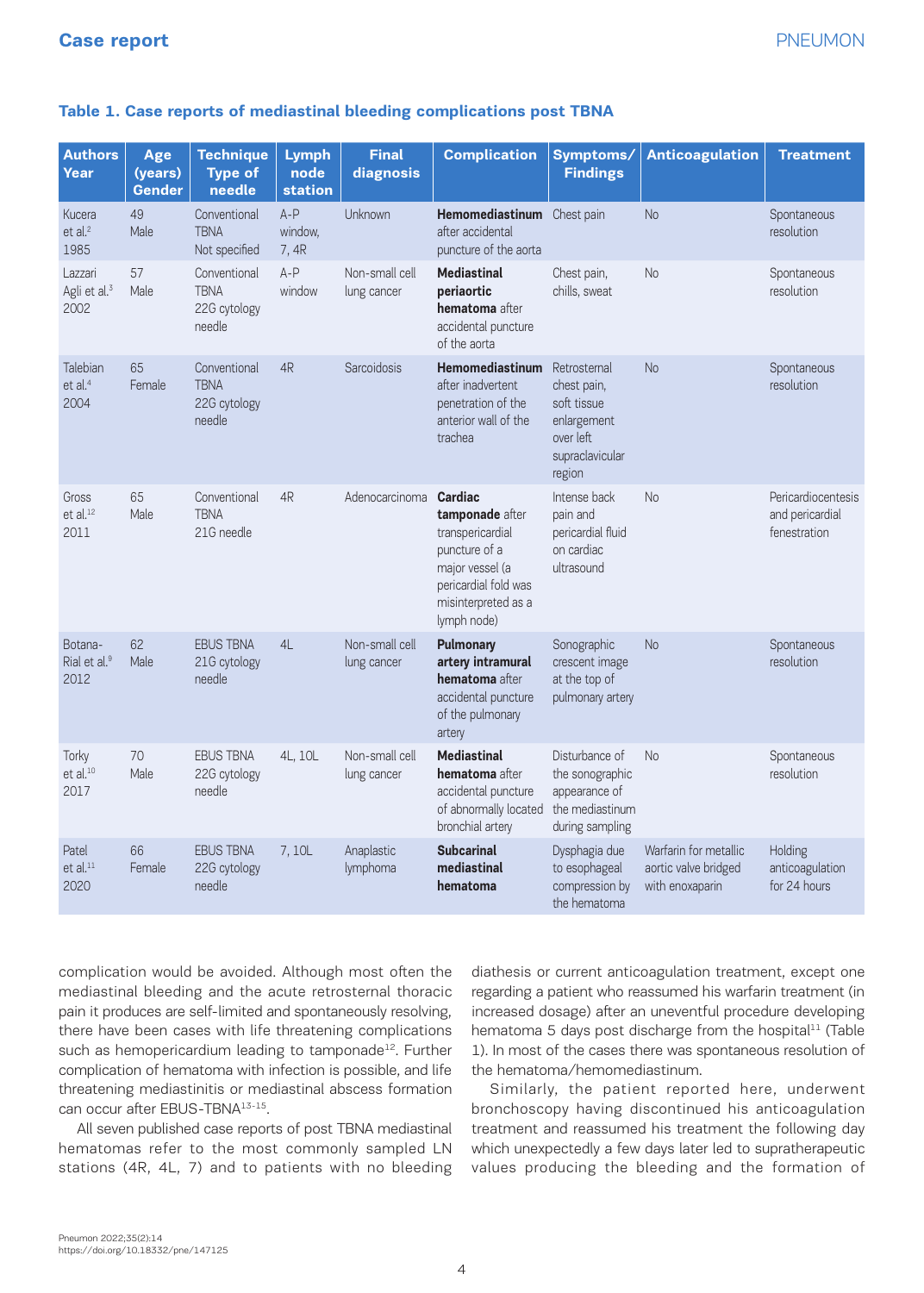### **Table 1. Case reports of mediastinal bleeding complications post TBNA**

| <b>Authors</b><br>Year                      | Age<br>(years)<br><b>Gender</b> | <b>Technique</b><br><b>Type of</b><br>needle          | <b>Lymph</b><br>node<br>station | <b>Final</b><br>diagnosis     | <b>Complication</b>                                                                                                                              | Symptoms/<br><b>Findings</b>                                                                        | <b>Anticoagulation</b>                                           | <b>Treatment</b>                                      |
|---------------------------------------------|---------------------------------|-------------------------------------------------------|---------------------------------|-------------------------------|--------------------------------------------------------------------------------------------------------------------------------------------------|-----------------------------------------------------------------------------------------------------|------------------------------------------------------------------|-------------------------------------------------------|
| Kucera<br>et al. <sup>2</sup><br>1985       | 49<br>Male                      | Conventional<br><b>TBNA</b><br>Not specified          | $A - P$<br>window,<br>7, 4R     | <b>Unknown</b>                | Hemomediastinum Chest pain<br>after accidental<br>puncture of the aorta                                                                          |                                                                                                     | <b>No</b>                                                        | Spontaneous<br>resolution                             |
| Lazzari<br>Agli et al. <sup>3</sup><br>2002 | 57<br>Male                      | Conventional<br><b>TBNA</b><br>22G cytology<br>needle | $A-P$<br>window                 | Non-small cell<br>lung cancer | <b>Mediastinal</b><br>periaortic<br>hematoma after<br>accidental puncture<br>of the aorta                                                        | Chest pain,<br>chills, sweat                                                                        | <b>No</b>                                                        | Spontaneous<br>resolution                             |
| Talebian<br>et al. <sup>4</sup><br>2004     | 65<br>Female                    | Conventional<br><b>TBNA</b><br>22G cytology<br>needle | 4R                              | Sarcoidosis                   | <b>Hemomediastinum</b><br>after inadvertent<br>penetration of the<br>anterior wall of the<br>trachea                                             | Retrosternal<br>chest pain,<br>soft tissue<br>enlargement<br>over left<br>supraclavicular<br>region | <b>No</b>                                                        | Spontaneous<br>resolution                             |
| Gross<br>et al. <sup>12</sup><br>2011       | 65<br>Male                      | Conventional<br><b>TBNA</b><br>21G needle             | 4R                              | Adenocarcinoma                | Cardiac<br>tamponade after<br>transpericardial<br>puncture of a<br>major vessel (a<br>pericardial fold was<br>misinterpreted as a<br>lymph node) | Intense back<br>pain and<br>pericardial fluid<br>on cardiac<br>ultrasound                           | <b>No</b>                                                        | Pericardiocentesis<br>and pericardial<br>fenestration |
| Botana-<br>Rial et al. <sup>9</sup><br>2012 | 62<br>Male                      | <b>EBUS TBNA</b><br>21G cytology<br>needle            | 4L                              | Non-small cell<br>lung cancer | <b>Pulmonary</b><br>artery intramural<br>hematoma after<br>accidental puncture<br>of the pulmonary<br>artery                                     | Sonographic<br>crescent image<br>at the top of<br>pulmonary artery                                  | <b>No</b>                                                        | Spontaneous<br>resolution                             |
| Torky<br>et al. <sup>10</sup><br>2017       | 70<br>Male                      | <b>EBUS TBNA</b><br>22G cytology<br>needle            | 4L, 10L                         | Non-small cell<br>lung cancer | <b>Mediastinal</b><br>hematoma after<br>accidental puncture<br>of abnormally located<br>bronchial artery                                         | Disturbance of<br>the sonographic<br>appearance of<br>the mediastinum<br>during sampling            | <b>No</b>                                                        | Spontaneous<br>resolution                             |
| Patel<br>et al. <sup>11</sup><br>2020       | 66<br>Female                    | <b>EBUS TBNA</b><br>22G cytology<br>needle            | 7,10L                           | Anaplastic<br>lymphoma        | <b>Subcarinal</b><br>mediastinal<br>hematoma                                                                                                     | Dysphagia due<br>to esophageal<br>compression by<br>the hematoma                                    | Warfarin for metallic<br>aortic valve bridged<br>with enoxaparin | Holding<br>anticoagulation<br>for 24 hours            |

complication would be avoided. Although most often the mediastinal bleeding and the acute retrosternal thoracic pain it produces are self-limited and spontaneously resolving, there have been cases with life threatening complications such as hemopericardium leading to tamponade<sup>12</sup>. Further complication of hematoma with infection is possible, and life threatening mediastinitis or mediastinal abscess formation can occur after EBUS-TBNA13-15.

All seven published case reports of post TBNA mediastinal hematomas refer to the most commonly sampled LN stations (4R, 4L, 7) and to patients with no bleeding diathesis or current anticoagulation treatment, except one regarding a patient who reassumed his warfarin treatment (in increased dosage) after an uneventful procedure developing hematoma 5 days post discharge from the hospital<sup>11</sup> (Table 1). In most of the cases there was spontaneous resolution of the hematoma/hemomediastinum.

Similarly, the patient reported here, underwent bronchoscopy having discontinued his anticoagulation treatment and reassumed his treatment the following day which unexpectedly a few days later led to supratherapeutic values producing the bleeding and the formation of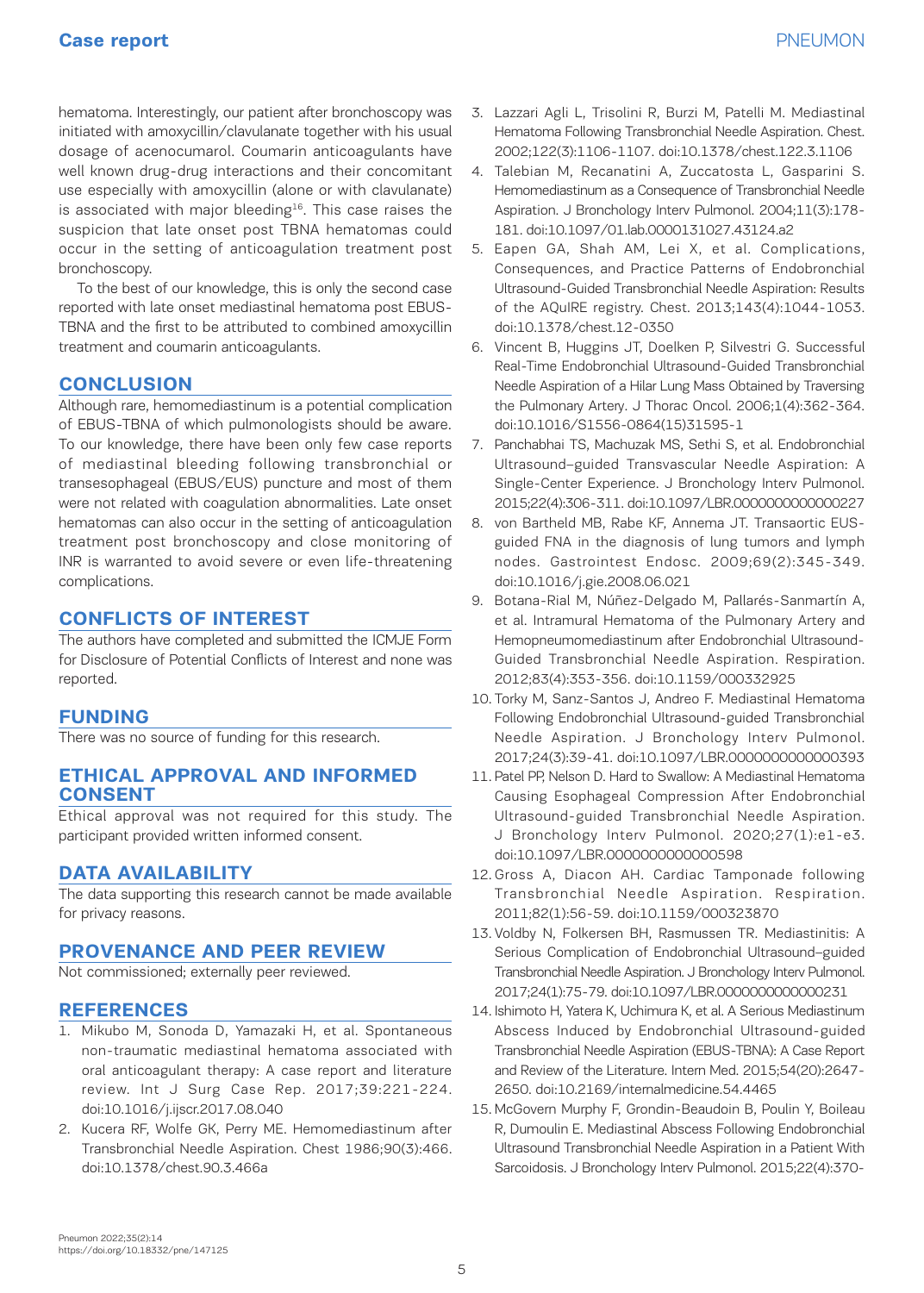hematoma. Interestingly, our patient after bronchoscopy was initiated with amoxycillin/clavulanate together with his usual dosage of acenocumarol. Coumarin anticoagulants have well known drug-drug interactions and their concomitant use especially with amoxycillin (alone or with clavulanate) is associated with major bleeding<sup>16</sup>. This case raises the suspicion that late onset post TBNA hematomas could occur in the setting of anticoagulation treatment post bronchoscopy.

To the best of our knowledge, this is only the second case reported with late onset mediastinal hematoma post EBUS-TBNA and the first to be attributed to combined amoxycillin treatment and coumarin anticoagulants.

## **CONCLUSION**

Although rare, hemomediastinum is a potential complication of EBUS-TBNA of which pulmonologists should be aware. To our knowledge, there have been only few case reports of mediastinal bleeding following transbronchial or transesophageal (EBUS/EUS) puncture and most of them were not related with coagulation abnormalities. Late onset hematomas can also occur in the setting of anticoagulation treatment post bronchoscopy and close monitoring of INR is warranted to avoid severe or even life-threatening complications.

## **CONFLICTS OF INTEREST**

The authors have completed and submitted the ICMJE Form for Disclosure of Potential Conflicts of Interest and none was reported.

## **FUNDING**

There was no source of funding for this research.

## **ETHICAL APPROVAL AND INFORMED CONSENT**

Ethical approval was not required for this study. The participant provided written informed consent.

## **DATA AVAILABILITY**

The data supporting this research cannot be made available for privacy reasons.

## **PROVENANCE AND PEER REVIEW**

Not commissioned; externally peer reviewed.

## **REFERENCES**

- 1. Mikubo M, Sonoda D, Yamazaki H, et al. Spontaneous non-traumatic mediastinal hematoma associated with oral anticoagulant therapy: A case report and literature review. Int J Surg Case Rep. 2017;39:221-224. doi:10.1016/j.ijscr.2017.08.040
- 2. Kucera RF, Wolfe GK, Perry ME. Hemomediastinum after Transbronchial Needle Aspiration. Chest 1986;90(3):466. doi:10.1378/chest.90.3.466a
- 3. Lazzari Agli L, Trisolini R, Burzi M, Patelli M. Mediastinal Hematoma Following Transbronchial Needle Aspiration. Chest. 2002;122(3):1106-1107. doi:10.1378/chest.122.3.1106
- 4. Talebian M, Recanatini A, Zuccatosta L, Gasparini S. Hemomediastinum as a Consequence of Transbronchial Needle Aspiration. J Bronchology Interv Pulmonol. 2004;11(3):178- 181. doi:10.1097/01.lab.0000131027.43124.a2
- 5. Eapen GA, Shah AM, Lei X, et al. Complications, Consequences, and Practice Patterns of Endobronchial Ultrasound-Guided Transbronchial Needle Aspiration: Results of the AQuIRE registry. Chest. 2013;143(4):1044-1053. doi:10.1378/chest.12-0350
- 6. Vincent B, Huggins JT, Doelken P, Silvestri G. Successful Real-Time Endobronchial Ultrasound-Guided Transbronchial Needle Aspiration of a Hilar Lung Mass Obtained by Traversing the Pulmonary Artery. J Thorac Oncol. 2006;1(4):362-364. doi:10.1016/S1556-0864(15)31595-1
- 7. Panchabhai TS, Machuzak MS, Sethi S, et al. Endobronchial Ultrasound–guided Transvascular Needle Aspiration: A Single-Center Experience. J Bronchology Interv Pulmonol. 2015;22(4):306-311. doi:10.1097/LBR.0000000000000227
- 8. von Bartheld MB, Rabe KF, Annema JT. Transaortic EUSguided FNA in the diagnosis of lung tumors and lymph nodes. Gastrointest Endosc. 2009;69(2):345-349. doi:10.1016/j.gie.2008.06.021
- 9. Botana-Rial M, Núñez-Delgado M, Pallarés-Sanmartín A, et al. Intramural Hematoma of the Pulmonary Artery and Hemopneumomediastinum after Endobronchial Ultrasound-Guided Transbronchial Needle Aspiration. Respiration. 2012;83(4):353-356. doi:10.1159/000332925
- 10. Torky M, Sanz-Santos J, Andreo F. Mediastinal Hematoma Following Endobronchial Ultrasound-guided Transbronchial Needle Aspiration. J Bronchology Interv Pulmonol. 2017;24(3):39-41. doi:10.1097/LBR.0000000000000393
- 11. Patel PP, Nelson D. Hard to Swallow: A Mediastinal Hematoma Causing Esophageal Compression After Endobronchial Ultrasound-guided Transbronchial Needle Aspiration. J Bronchology Interv Pulmonol. 2020;27(1):e1-e3. doi:10.1097/LBR.0000000000000598
- 12. Gross A, Diacon AH. Cardiac Tamponade following Transbronchial Needle Aspiration. Respiration. 2011;82(1):56-59. doi:10.1159/000323870
- 13. Voldby N, Folkersen BH, Rasmussen TR. Mediastinitis: A Serious Complication of Endobronchial Ultrasound–guided Transbronchial Needle Aspiration. J Bronchology Interv Pulmonol. 2017;24(1):75-79. doi:10.1097/LBR.0000000000000231
- 14. Ishimoto H, Yatera K, Uchimura K, et al. A Serious Mediastinum Abscess Induced by Endobronchial Ultrasound-guided Transbronchial Needle Aspiration (EBUS-TBNA): A Case Report and Review of the Literature. Intern Med. 2015;54(20):2647- 2650. doi:10.2169/internalmedicine.54.4465
- 15. McGovern Murphy F, Grondin-Beaudoin B, Poulin Y, Boileau R, Dumoulin E. Mediastinal Abscess Following Endobronchial Ultrasound Transbronchial Needle Aspiration in a Patient With Sarcoidosis. J Bronchology Interv Pulmonol. 2015;22(4):370-